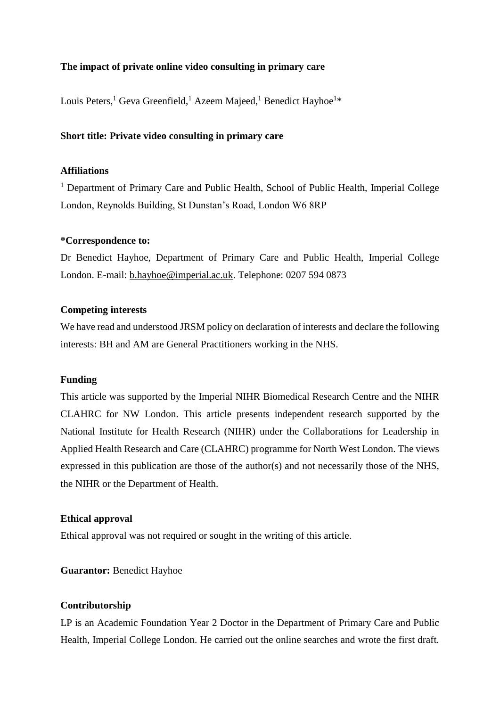# **The impact of private online video consulting in primary care**

Louis Peters,<sup>1</sup> Geva Greenfield,<sup>1</sup> Azeem Majeed,<sup>1</sup> Benedict Hayhoe<sup>1\*</sup>

# **Short title: Private video consulting in primary care**

# **Affiliations**

<sup>1</sup> Department of Primary Care and Public Health, School of Public Health, Imperial College London, Reynolds Building, St Dunstan's Road, London W6 8RP

#### **\*Correspondence to:**

Dr Benedict Hayhoe, Department of Primary Care and Public Health, Imperial College London. E-mail: [b.hayhoe@imperial.ac.uk.](mailto:b.hayhoe@imperial.ac.uk) Telephone: 0207 594 0873

## **Competing interests**

We have read and understood JRSM policy on declaration of interests and declare the following interests: BH and AM are General Practitioners working in the NHS.

#### **Funding**

This article was supported by the Imperial NIHR Biomedical Research Centre and the NIHR CLAHRC for NW London. This article presents independent research supported by the National Institute for Health Research (NIHR) under the Collaborations for Leadership in Applied Health Research and Care (CLAHRC) programme for North West London. The views expressed in this publication are those of the author(s) and not necessarily those of the NHS, the NIHR or the Department of Health.

## **Ethical approval**

Ethical approval was not required or sought in the writing of this article.

## **Guarantor:** Benedict Hayhoe

# **Contributorship**

LP is an Academic Foundation Year 2 Doctor in the Department of Primary Care and Public Health, Imperial College London. He carried out the online searches and wrote the first draft.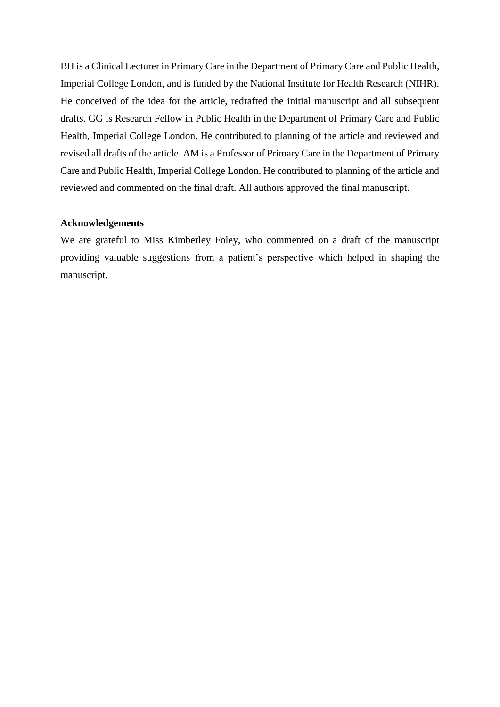BH is a Clinical Lecturer in Primary Care in the Department of Primary Care and Public Health, Imperial College London, and is funded by the National Institute for Health Research (NIHR). He conceived of the idea for the article, redrafted the initial manuscript and all subsequent drafts. GG is Research Fellow in Public Health in the Department of Primary Care and Public Health, Imperial College London. He contributed to planning of the article and reviewed and revised all drafts of the article. AM is a Professor of Primary Care in the Department of Primary Care and Public Health, Imperial College London. He contributed to planning of the article and reviewed and commented on the final draft. All authors approved the final manuscript.

# **Acknowledgements**

We are grateful to Miss Kimberley Foley, who commented on a draft of the manuscript providing valuable suggestions from a patient's perspective which helped in shaping the manuscript.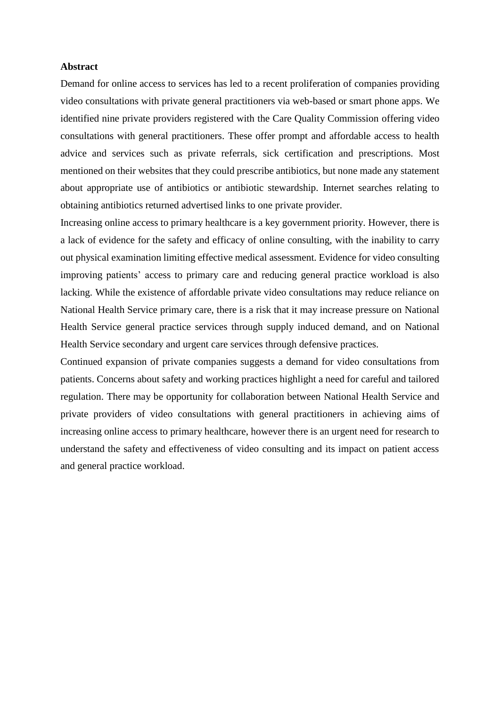## **Abstract**

Demand for online access to services has led to a recent proliferation of companies providing video consultations with private general practitioners via web-based or smart phone apps. We identified nine private providers registered with the Care Quality Commission offering video consultations with general practitioners. These offer prompt and affordable access to health advice and services such as private referrals, sick certification and prescriptions. Most mentioned on their websites that they could prescribe antibiotics, but none made any statement about appropriate use of antibiotics or antibiotic stewardship. Internet searches relating to obtaining antibiotics returned advertised links to one private provider.

Increasing online access to primary healthcare is a key government priority. However, there is a lack of evidence for the safety and efficacy of online consulting, with the inability to carry out physical examination limiting effective medical assessment. Evidence for video consulting improving patients' access to primary care and reducing general practice workload is also lacking. While the existence of affordable private video consultations may reduce reliance on National Health Service primary care, there is a risk that it may increase pressure on National Health Service general practice services through supply induced demand, and on National Health Service secondary and urgent care services through defensive practices.

Continued expansion of private companies suggests a demand for video consultations from patients. Concerns about safety and working practices highlight a need for careful and tailored regulation. There may be opportunity for collaboration between National Health Service and private providers of video consultations with general practitioners in achieving aims of increasing online access to primary healthcare, however there is an urgent need for research to understand the safety and effectiveness of video consulting and its impact on patient access and general practice workload.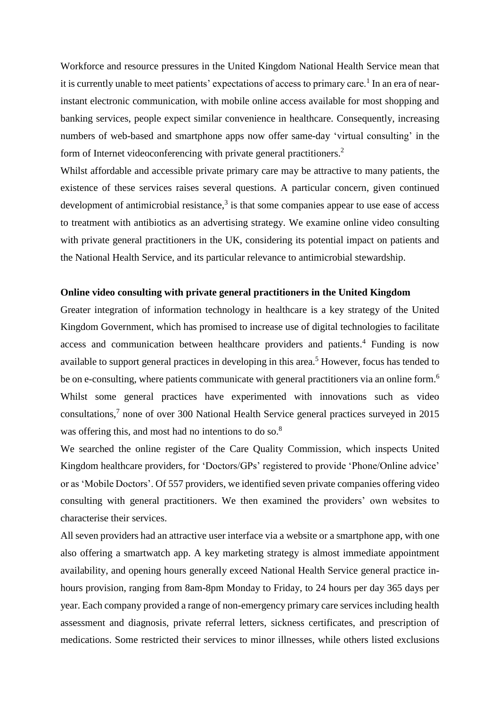Workforce and resource pressures in the United Kingdom National Health Service mean that it is currently unable to meet patients' expectations of access to primary care.<sup>1</sup> In an era of nearinstant electronic communication, with mobile online access available for most shopping and banking services, people expect similar convenience in healthcare. Consequently, increasing numbers of web-based and smartphone apps now offer same-day 'virtual consulting' in the form of Internet videoconferencing with private general practitioners.<sup>2</sup>

Whilst affordable and accessible private primary care may be attractive to many patients, the existence of these services raises several questions. A particular concern, given continued development of antimicrobial resistance, $3$  is that some companies appear to use ease of access to treatment with antibiotics as an advertising strategy. We examine online video consulting with private general practitioners in the UK, considering its potential impact on patients and the National Health Service, and its particular relevance to antimicrobial stewardship.

#### **Online video consulting with private general practitioners in the United Kingdom**

Greater integration of information technology in healthcare is a key strategy of the United Kingdom Government, which has promised to increase use of digital technologies to facilitate access and communication between healthcare providers and patients. <sup>4</sup> Funding is now available to support general practices in developing in this area.<sup>5</sup> However, focus has tended to be on e-consulting, where patients communicate with general practitioners via an online form.<sup>6</sup> Whilst some general practices have experimented with innovations such as video consultations,<sup>7</sup> none of over 300 National Health Service general practices surveyed in 2015 was offering this, and most had no intentions to do so.<sup>8</sup>

We searched the online register of the Care Quality Commission, which inspects United Kingdom healthcare providers, for 'Doctors/GPs' registered to provide 'Phone/Online advice' or as 'Mobile Doctors'. Of 557 providers, we identified seven private companies offering video consulting with general practitioners. We then examined the providers' own websites to characterise their services.

All seven providers had an attractive user interface via a website or a smartphone app, with one also offering a smartwatch app. A key marketing strategy is almost immediate appointment availability, and opening hours generally exceed National Health Service general practice inhours provision, ranging from 8am-8pm Monday to Friday, to 24 hours per day 365 days per year. Each company provided a range of non-emergency primary care services including health assessment and diagnosis, private referral letters, sickness certificates, and prescription of medications. Some restricted their services to minor illnesses, while others listed exclusions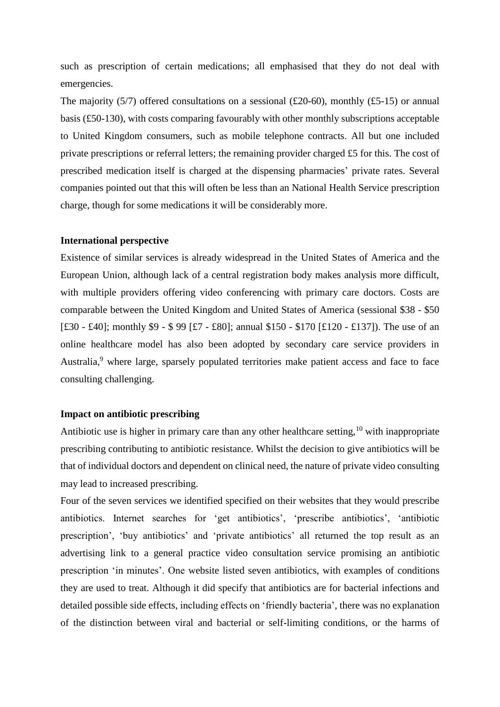such as prescription of certain medications; all emphasised that they do not deal with emergencies.

The majority (5/7) offered consultations on a sessional (£20-60), monthly (£5-15) or annual basis (£50-130), with costs comparing favourably with other monthly subscriptions acceptable to United Kingdom consumers, such as mobile telephone contracts. All but one included private prescriptions or referral letters; the remaining provider charged £5 for this. The cost of prescribed medication itself is charged at the dispensing pharmacies' private rates. Several companies pointed out that this will often be less than an National Health Service prescription charge, though for some medications it will be considerably more.

#### **International perspective**

Existence of similar services is already widespread in the United States of America and the European Union, although lack of a central registration body makes analysis more difficult, with multiple providers offering video conferencing with primary care doctors. Costs are comparable between the United Kingdom and United States of America (sessional \$38 - \$50 [£30 - £40]; monthly \$9 - \$ 99 [£7 - £80]; annual \$150 - \$170 [£120 - £137]). The use of an online healthcare model has also been adopted by secondary care service providers in Australia,<sup>9</sup> where large, sparsely populated territories make patient access and face to face consulting challenging.

## **Impact on antibiotic prescribing**

Antibiotic use is higher in primary care than any other healthcare setting,  $10$  with inappropriate prescribing contributing to antibiotic resistance. Whilst the decision to give antibiotics will be that of individual doctors and dependent on clinical need, the nature of private video consulting may lead to increased prescribing.

Four of the seven services we identified specified on their websites that they would prescribe antibiotics. Internet searches for 'get antibiotics', 'prescribe antibiotics', 'antibiotic prescription', 'buy antibiotics' and 'private antibiotics' all returned the top result as an advertising link to a general practice video consultation service promising an antibiotic prescription 'in minutes'. One website listed seven antibiotics, with examples of conditions they are used to treat. Although it did specify that antibiotics are for bacterial infections and detailed possible side effects, including effects on 'friendly bacteria', there was no explanation of the distinction between viral and bacterial or self-limiting conditions, or the harms of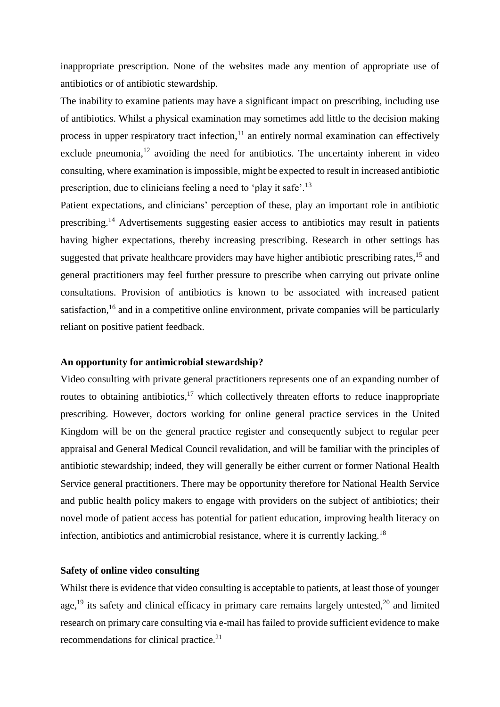inappropriate prescription. None of the websites made any mention of appropriate use of antibiotics or of antibiotic stewardship.

The inability to examine patients may have a significant impact on prescribing, including use of antibiotics. Whilst a physical examination may sometimes add little to the decision making process in upper respiratory tract infection, $11$  an entirely normal examination can effectively exclude pneumonia,  $12$  avoiding the need for antibiotics. The uncertainty inherent in video consulting, where examination is impossible, might be expected to result in increased antibiotic prescription, due to clinicians feeling a need to 'play it safe'.<sup>13</sup>

Patient expectations, and clinicians' perception of these, play an important role in antibiotic prescribing.<sup>14</sup> Advertisements suggesting easier access to antibiotics may result in patients having higher expectations, thereby increasing prescribing. Research in other settings has suggested that private healthcare providers may have higher antibiotic prescribing rates,  $15$  and general practitioners may feel further pressure to prescribe when carrying out private online consultations. Provision of antibiotics is known to be associated with increased patient satisfaction,<sup>16</sup> and in a competitive online environment, private companies will be particularly reliant on positive patient feedback.

#### **An opportunity for antimicrobial stewardship?**

Video consulting with private general practitioners represents one of an expanding number of routes to obtaining antibiotics,<sup>17</sup> which collectively threaten efforts to reduce inappropriate prescribing. However, doctors working for online general practice services in the United Kingdom will be on the general practice register and consequently subject to regular peer appraisal and General Medical Council revalidation, and will be familiar with the principles of antibiotic stewardship; indeed, they will generally be either current or former National Health Service general practitioners. There may be opportunity therefore for National Health Service and public health policy makers to engage with providers on the subject of antibiotics; their novel mode of patient access has potential for patient education, improving health literacy on infection, antibiotics and antimicrobial resistance, where it is currently lacking.<sup>18</sup>

# **Safety of online video consulting**

Whilst there is evidence that video consulting is acceptable to patients, at least those of younger age,<sup>19</sup> its safety and clinical efficacy in primary care remains largely untested,<sup>20</sup> and limited research on primary care consulting via e-mail has failed to provide sufficient evidence to make recommendations for clinical practice.<sup>21</sup>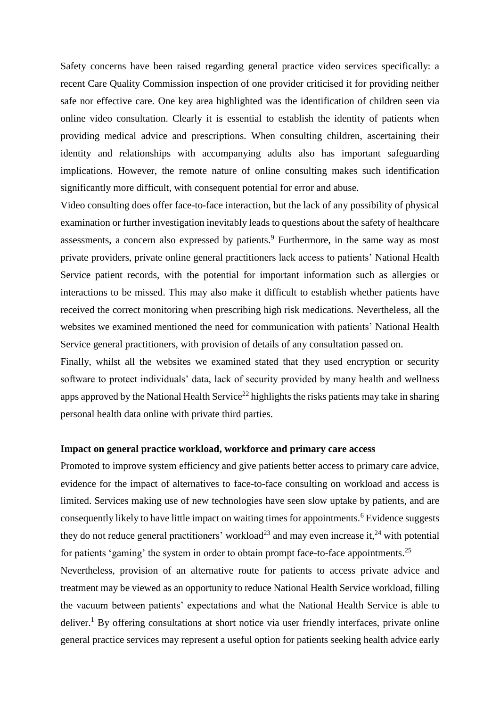Safety concerns have been raised regarding general practice video services specifically: a recent Care Quality Commission inspection of one provider criticised it for providing neither safe nor effective care. One key area highlighted was the identification of children seen via online video consultation. Clearly it is essential to establish the identity of patients when providing medical advice and prescriptions. When consulting children, ascertaining their identity and relationships with accompanying adults also has important safeguarding implications. However, the remote nature of online consulting makes such identification significantly more difficult, with consequent potential for error and abuse.

Video consulting does offer face-to-face interaction, but the lack of any possibility of physical examination or further investigation inevitably leads to questions about the safety of healthcare assessments, a concern also expressed by patients.<sup>9</sup> Furthermore, in the same way as most private providers, private online general practitioners lack access to patients' National Health Service patient records, with the potential for important information such as allergies or interactions to be missed. This may also make it difficult to establish whether patients have received the correct monitoring when prescribing high risk medications. Nevertheless, all the websites we examined mentioned the need for communication with patients' National Health Service general practitioners, with provision of details of any consultation passed on.

Finally, whilst all the websites we examined stated that they used encryption or security software to protect individuals' data, lack of security provided by many health and wellness apps approved by the National Health Service<sup>22</sup> highlights the risks patients may take in sharing personal health data online with private third parties.

## **Impact on general practice workload, workforce and primary care access**

Promoted to improve system efficiency and give patients better access to primary care advice, evidence for the impact of alternatives to face-to-face consulting on workload and access is limited. Services making use of new technologies have seen slow uptake by patients, and are consequently likely to have little impact on waiting times for appointments.<sup>6</sup> Evidence suggests they do not reduce general practitioners' workload<sup>23</sup> and may even increase it,<sup>24</sup> with potential for patients 'gaming' the system in order to obtain prompt face-to-face appointments.<sup>25</sup>

Nevertheless, provision of an alternative route for patients to access private advice and treatment may be viewed as an opportunity to reduce National Health Service workload, filling the vacuum between patients' expectations and what the National Health Service is able to deliver.<sup>1</sup> By offering consultations at short notice via user friendly interfaces, private online general practice services may represent a useful option for patients seeking health advice early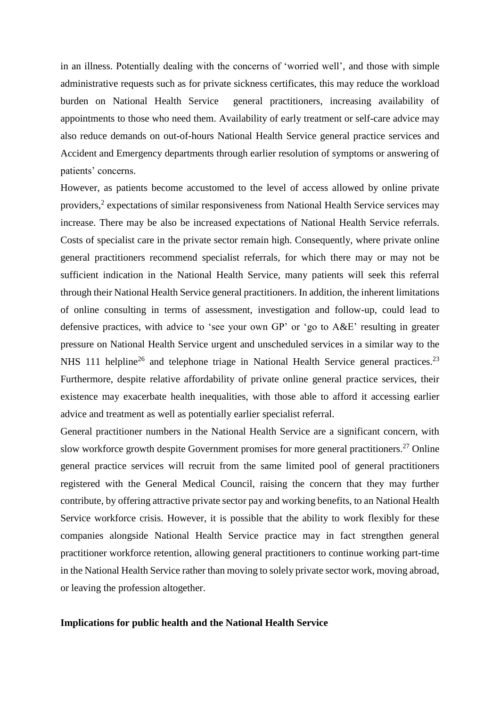in an illness. Potentially dealing with the concerns of 'worried well', and those with simple administrative requests such as for private sickness certificates, this may reduce the workload burden on National Health Service general practitioners, increasing availability of appointments to those who need them. Availability of early treatment or self-care advice may also reduce demands on out-of-hours National Health Service general practice services and Accident and Emergency departments through earlier resolution of symptoms or answering of patients' concerns.

However, as patients become accustomed to the level of access allowed by online private providers,<sup>2</sup> expectations of similar responsiveness from National Health Service services may increase. There may be also be increased expectations of National Health Service referrals. Costs of specialist care in the private sector remain high. Consequently, where private online general practitioners recommend specialist referrals, for which there may or may not be sufficient indication in the National Health Service, many patients will seek this referral through their National Health Service general practitioners. In addition, the inherent limitations of online consulting in terms of assessment, investigation and follow-up, could lead to defensive practices, with advice to 'see your own GP' or 'go to A&E' resulting in greater pressure on National Health Service urgent and unscheduled services in a similar way to the NHS 111 helpline<sup>26</sup> and telephone triage in National Health Service general practices.<sup>23</sup> Furthermore, despite relative affordability of private online general practice services, their existence may exacerbate health inequalities, with those able to afford it accessing earlier advice and treatment as well as potentially earlier specialist referral.

General practitioner numbers in the National Health Service are a significant concern, with slow workforce growth despite Government promises for more general practitioners.<sup>27</sup> Online general practice services will recruit from the same limited pool of general practitioners registered with the General Medical Council, raising the concern that they may further contribute, by offering attractive private sector pay and working benefits, to an National Health Service workforce crisis. However, it is possible that the ability to work flexibly for these companies alongside National Health Service practice may in fact strengthen general practitioner workforce retention, allowing general practitioners to continue working part-time in the National Health Service rather than moving to solely private sector work, moving abroad, or leaving the profession altogether.

# **Implications for public health and the National Health Service**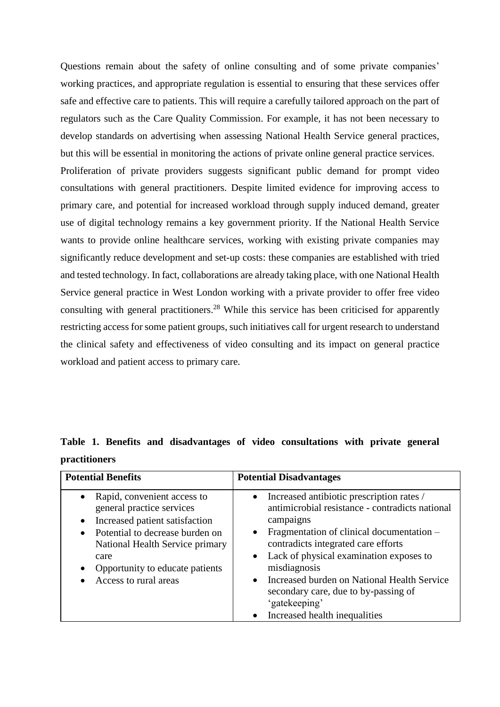Questions remain about the safety of online consulting and of some private companies' working practices, and appropriate regulation is essential to ensuring that these services offer safe and effective care to patients. This will require a carefully tailored approach on the part of regulators such as the Care Quality Commission. For example, it has not been necessary to develop standards on advertising when assessing National Health Service general practices, but this will be essential in monitoring the actions of private online general practice services. Proliferation of private providers suggests significant public demand for prompt video consultations with general practitioners. Despite limited evidence for improving access to primary care, and potential for increased workload through supply induced demand, greater use of digital technology remains a key government priority. If the National Health Service wants to provide online healthcare services, working with existing private companies may significantly reduce development and set-up costs: these companies are established with tried and tested technology. In fact, collaborations are already taking place, with one National Health Service general practice in West London working with a private provider to offer free video consulting with general practitioners. <sup>28</sup> While this service has been criticised for apparently restricting access for some patient groups, such initiatives call for urgent research to understand

the clinical safety and effectiveness of video consulting and its impact on general practice workload and patient access to primary care.

# **Table 1. Benefits and disadvantages of video consultations with private general practitioners**

| <b>Potential Benefits</b>                                                                                                                                                                                                                                                   | <b>Potential Disadvantages</b>                                                                                                                                                                                                                                                                                                                                                                                                           |
|-----------------------------------------------------------------------------------------------------------------------------------------------------------------------------------------------------------------------------------------------------------------------------|------------------------------------------------------------------------------------------------------------------------------------------------------------------------------------------------------------------------------------------------------------------------------------------------------------------------------------------------------------------------------------------------------------------------------------------|
| Rapid, convenient access to<br>$\bullet$<br>general practice services<br>Increased patient satisfaction<br>$\bullet$<br>Potential to decrease burden on<br>National Health Service primary<br>care<br>Opportunity to educate patients<br>$\bullet$<br>Access to rural areas | Increased antibiotic prescription rates /<br>antimicrobial resistance - contradicts national<br>campaigns<br>Fragmentation of clinical documentation –<br>$\bullet$<br>contradicts integrated care efforts<br>Lack of physical examination exposes to<br>$\bullet$<br>misdiagnosis<br>Increased burden on National Health Service<br>$\bullet$<br>secondary care, due to by-passing of<br>'gatekeeping'<br>Increased health inequalities |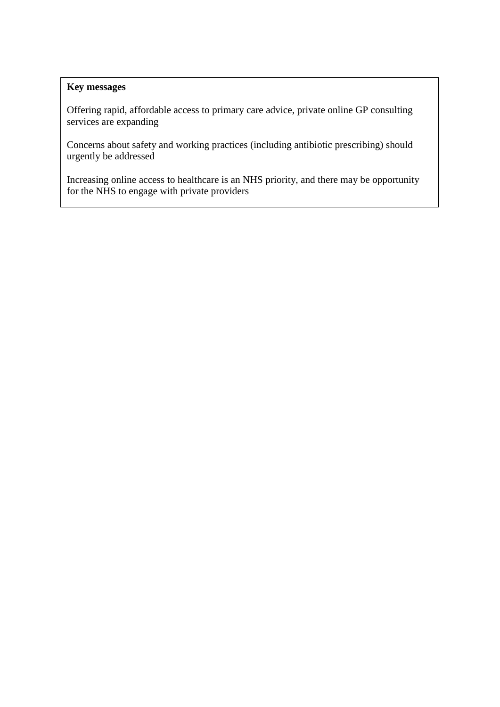# **Key messages**

Offering rapid, affordable access to primary care advice, private online GP consulting services are expanding

Concerns about safety and working practices (including antibiotic prescribing) should urgently be addressed

Increasing online access to healthcare is an NHS priority, and there may be opportunity for the NHS to engage with private providers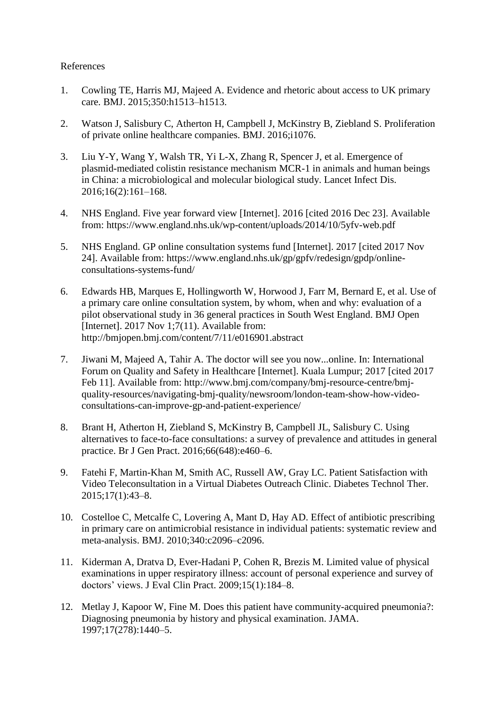# References

- 1. Cowling TE, Harris MJ, Majeed A. Evidence and rhetoric about access to UK primary care. BMJ. 2015;350:h1513–h1513.
- 2. Watson J, Salisbury C, Atherton H, Campbell J, McKinstry B, Ziebland S. Proliferation of private online healthcare companies. BMJ. 2016;i1076.
- 3. Liu Y-Y, Wang Y, Walsh TR, Yi L-X, Zhang R, Spencer J, et al. Emergence of plasmid-mediated colistin resistance mechanism MCR-1 in animals and human beings in China: a microbiological and molecular biological study. Lancet Infect Dis. 2016;16(2):161–168.
- 4. NHS England. Five year forward view [Internet]. 2016 [cited 2016 Dec 23]. Available from: https://www.england.nhs.uk/wp-content/uploads/2014/10/5yfv-web.pdf
- 5. NHS England. GP online consultation systems fund [Internet]. 2017 [cited 2017 Nov 24]. Available from: https://www.england.nhs.uk/gp/gpfv/redesign/gpdp/onlineconsultations-systems-fund/
- 6. Edwards HB, Marques E, Hollingworth W, Horwood J, Farr M, Bernard E, et al. Use of a primary care online consultation system, by whom, when and why: evaluation of a pilot observational study in 36 general practices in South West England. BMJ Open [Internet]. 2017 Nov 1;7(11). Available from: http://bmjopen.bmj.com/content/7/11/e016901.abstract
- 7. Jiwani M, Majeed A, Tahir A. The doctor will see you now...online. In: International Forum on Quality and Safety in Healthcare [Internet]. Kuala Lumpur; 2017 [cited 2017 Feb 11]. Available from: http://www.bmj.com/company/bmj-resource-centre/bmjquality-resources/navigating-bmj-quality/newsroom/london-team-show-how-videoconsultations-can-improve-gp-and-patient-experience/
- 8. Brant H, Atherton H, Ziebland S, McKinstry B, Campbell JL, Salisbury C. Using alternatives to face-to-face consultations: a survey of prevalence and attitudes in general practice. Br J Gen Pract. 2016;66(648):e460–6.
- 9. Fatehi F, Martin-Khan M, Smith AC, Russell AW, Gray LC. Patient Satisfaction with Video Teleconsultation in a Virtual Diabetes Outreach Clinic. Diabetes Technol Ther. 2015;17(1):43–8.
- 10. Costelloe C, Metcalfe C, Lovering A, Mant D, Hay AD. Effect of antibiotic prescribing in primary care on antimicrobial resistance in individual patients: systematic review and meta-analysis. BMJ. 2010;340:c2096–c2096.
- 11. Kiderman A, Dratva D, Ever-Hadani P, Cohen R, Brezis M. Limited value of physical examinations in upper respiratory illness: account of personal experience and survey of doctors' views. J Eval Clin Pract. 2009;15(1):184–8.
- 12. Metlay J, Kapoor W, Fine M. Does this patient have community-acquired pneumonia?: Diagnosing pneumonia by history and physical examination. JAMA. 1997;17(278):1440–5.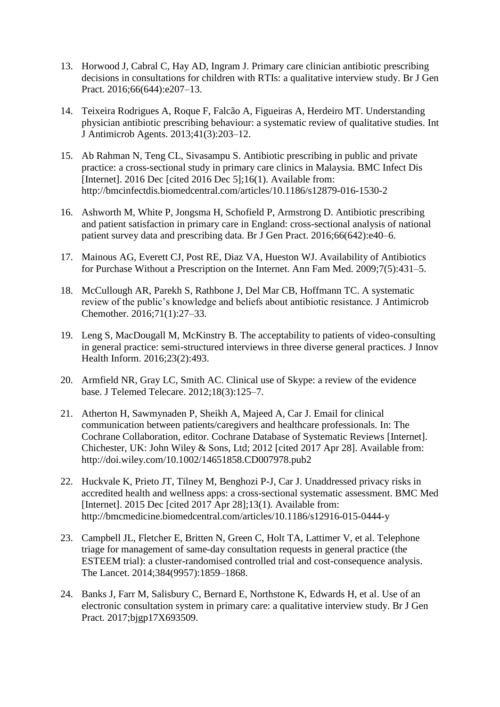- 13. Horwood J, Cabral C, Hay AD, Ingram J. Primary care clinician antibiotic prescribing decisions in consultations for children with RTIs: a qualitative interview study. Br J Gen Pract. 2016;66(644):e207–13.
- 14. Teixeira Rodrigues A, Roque F, Falcão A, Figueiras A, Herdeiro MT. Understanding physician antibiotic prescribing behaviour: a systematic review of qualitative studies. Int J Antimicrob Agents. 2013;41(3):203–12.
- 15. Ab Rahman N, Teng CL, Sivasampu S. Antibiotic prescribing in public and private practice: a cross-sectional study in primary care clinics in Malaysia. BMC Infect Dis [Internet]. 2016 Dec [cited 2016 Dec 5];16(1). Available from: http://bmcinfectdis.biomedcentral.com/articles/10.1186/s12879-016-1530-2
- 16. Ashworth M, White P, Jongsma H, Schofield P, Armstrong D. Antibiotic prescribing and patient satisfaction in primary care in England: cross-sectional analysis of national patient survey data and prescribing data. Br J Gen Pract. 2016;66(642):e40–6.
- 17. Mainous AG, Everett CJ, Post RE, Diaz VA, Hueston WJ. Availability of Antibiotics for Purchase Without a Prescription on the Internet. Ann Fam Med. 2009;7(5):431–5.
- 18. McCullough AR, Parekh S, Rathbone J, Del Mar CB, Hoffmann TC. A systematic review of the public's knowledge and beliefs about antibiotic resistance. J Antimicrob Chemother. 2016;71(1):27–33.
- 19. Leng S, MacDougall M, McKinstry B. The acceptability to patients of video-consulting in general practice: semi-structured interviews in three diverse general practices. J Innov Health Inform. 2016;23(2):493.
- 20. Armfield NR, Gray LC, Smith AC. Clinical use of Skype: a review of the evidence base. J Telemed Telecare. 2012;18(3):125–7.
- 21. Atherton H, Sawmynaden P, Sheikh A, Majeed A, Car J. Email for clinical communication between patients/caregivers and healthcare professionals. In: The Cochrane Collaboration, editor. Cochrane Database of Systematic Reviews [Internet]. Chichester, UK: John Wiley & Sons, Ltd; 2012 [cited 2017 Apr 28]. Available from: http://doi.wiley.com/10.1002/14651858.CD007978.pub2
- 22. Huckvale K, Prieto JT, Tilney M, Benghozi P-J, Car J. Unaddressed privacy risks in accredited health and wellness apps: a cross-sectional systematic assessment. BMC Med [Internet]. 2015 Dec [cited 2017 Apr 28];13(1). Available from: http://bmcmedicine.biomedcentral.com/articles/10.1186/s12916-015-0444-y
- 23. Campbell JL, Fletcher E, Britten N, Green C, Holt TA, Lattimer V, et al. Telephone triage for management of same-day consultation requests in general practice (the ESTEEM trial): a cluster-randomised controlled trial and cost-consequence analysis. The Lancet. 2014;384(9957):1859–1868.
- 24. Banks J, Farr M, Salisbury C, Bernard E, Northstone K, Edwards H, et al. Use of an electronic consultation system in primary care: a qualitative interview study. Br J Gen Pract. 2017;bjgp17X693509.